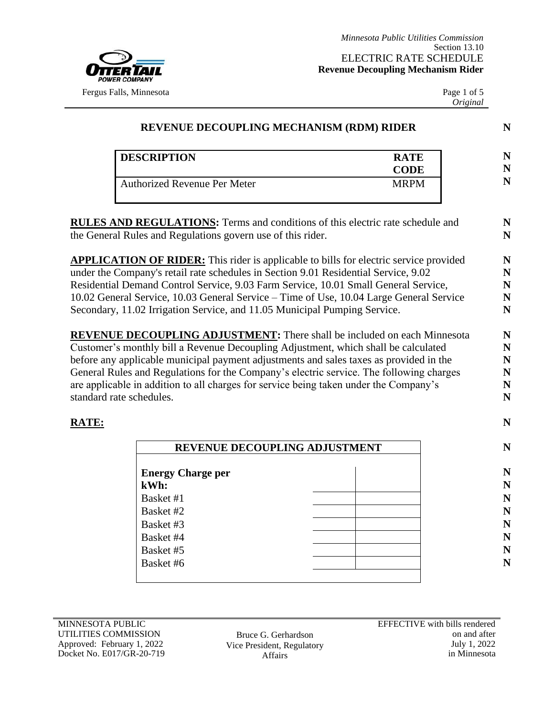

Page 1 of 5 *Original*

|                          | <b>DESCRIPTION</b>                                                                                                                                                                | <b>RATE</b><br><b>CODE</b> |
|--------------------------|-----------------------------------------------------------------------------------------------------------------------------------------------------------------------------------|----------------------------|
|                          | <b>Authorized Revenue Per Meter</b>                                                                                                                                               | <b>MRPM</b>                |
|                          | <b>RULES AND REGULATIONS:</b> Terms and conditions of this electric rate schedule and                                                                                             |                            |
|                          | the General Rules and Regulations govern use of this rider.                                                                                                                       |                            |
|                          | <b>APPLICATION OF RIDER:</b> This rider is applicable to bills for electric service provided                                                                                      |                            |
|                          | under the Company's retail rate schedules in Section 9.01 Residential Service, 9.02                                                                                               |                            |
|                          | Residential Demand Control Service, 9.03 Farm Service, 10.01 Small General Service,                                                                                               |                            |
|                          | 10.02 General Service, 10.03 General Service - Time of Use, 10.04 Large General Service                                                                                           |                            |
|                          | Secondary, 11.02 Irrigation Service, and 11.05 Municipal Pumping Service.                                                                                                         |                            |
|                          | <b>REVENUE DECOUPLING ADJUSTMENT:</b> There shall be included on each Minnesota                                                                                                   |                            |
|                          |                                                                                                                                                                                   |                            |
|                          |                                                                                                                                                                                   |                            |
|                          | Customer's monthly bill a Revenue Decoupling Adjustment, which shall be calculated                                                                                                |                            |
|                          | before any applicable municipal payment adjustments and sales taxes as provided in the<br>General Rules and Regulations for the Company's electric service. The following charges |                            |
|                          | are applicable in addition to all charges for service being taken under the Company's                                                                                             |                            |
| standard rate schedules. |                                                                                                                                                                                   |                            |
|                          |                                                                                                                                                                                   |                            |
| <b>RATE:</b>             |                                                                                                                                                                                   |                            |
|                          | REVENUE DECOUPLING ADJUSTMENT                                                                                                                                                     |                            |
|                          |                                                                                                                                                                                   |                            |
|                          | <b>Energy Charge per</b>                                                                                                                                                          |                            |
|                          | kWh:                                                                                                                                                                              |                            |
|                          | Basket #1                                                                                                                                                                         |                            |
|                          | Basket #2                                                                                                                                                                         |                            |
|                          | Basket #3                                                                                                                                                                         |                            |
|                          | Basket #4<br>Basket #5                                                                                                                                                            |                            |

Bruce G. Gerhardson Vice President, Regulatory Affairs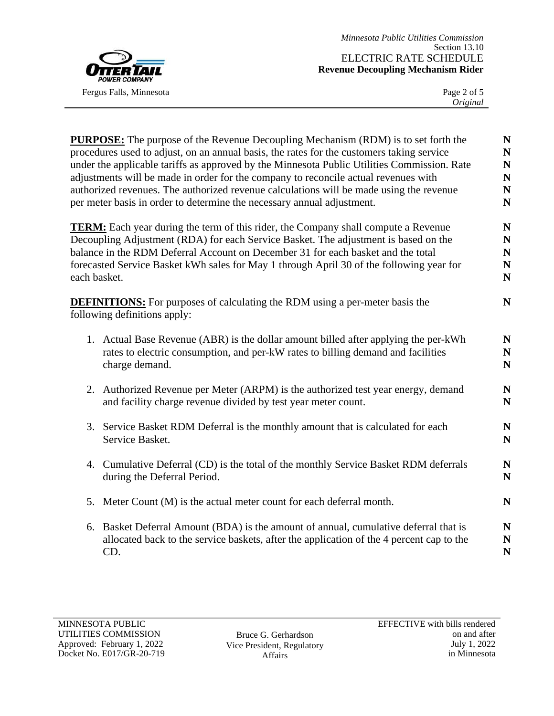

|    | <b>PURPOSE:</b> The purpose of the Revenue Decoupling Mechanism (RDM) is to set forth the<br>procedures used to adjust, on an annual basis, the rates for the customers taking service<br>under the applicable tariffs as approved by the Minnesota Public Utilities Commission. Rate<br>adjustments will be made in order for the company to reconcile actual revenues with<br>authorized revenues. The authorized revenue calculations will be made using the revenue<br>per meter basis in order to determine the necessary annual adjustment. | N<br>N<br>N<br>N<br>N<br>N |
|----|---------------------------------------------------------------------------------------------------------------------------------------------------------------------------------------------------------------------------------------------------------------------------------------------------------------------------------------------------------------------------------------------------------------------------------------------------------------------------------------------------------------------------------------------------|----------------------------|
|    | <b>TERM:</b> Each year during the term of this rider, the Company shall compute a Revenue<br>Decoupling Adjustment (RDA) for each Service Basket. The adjustment is based on the<br>balance in the RDM Deferral Account on December 31 for each basket and the total<br>forecasted Service Basket kWh sales for May 1 through April 30 of the following year for<br>each basket.                                                                                                                                                                  | N<br>N<br>N<br>N<br>N      |
|    | <b>DEFINITIONS:</b> For purposes of calculating the RDM using a per-meter basis the<br>following definitions apply:                                                                                                                                                                                                                                                                                                                                                                                                                               | N                          |
|    | 1. Actual Base Revenue (ABR) is the dollar amount billed after applying the per-kWh<br>rates to electric consumption, and per-kW rates to billing demand and facilities<br>charge demand.                                                                                                                                                                                                                                                                                                                                                         | N<br>N<br>N                |
|    | 2. Authorized Revenue per Meter (ARPM) is the authorized test year energy, demand<br>and facility charge revenue divided by test year meter count.                                                                                                                                                                                                                                                                                                                                                                                                | N<br>N                     |
|    | 3. Service Basket RDM Deferral is the monthly amount that is calculated for each<br>Service Basket.                                                                                                                                                                                                                                                                                                                                                                                                                                               | N<br>N                     |
|    | 4. Cumulative Deferral (CD) is the total of the monthly Service Basket RDM deferrals<br>during the Deferral Period.                                                                                                                                                                                                                                                                                                                                                                                                                               | N<br>N                     |
|    | 5. Meter Count (M) is the actual meter count for each deferral month.                                                                                                                                                                                                                                                                                                                                                                                                                                                                             | N                          |
| 6. | Basket Deferral Amount (BDA) is the amount of annual, cumulative deferral that is<br>allocated back to the service baskets, after the application of the 4 percent cap to the<br>CD.                                                                                                                                                                                                                                                                                                                                                              | N<br>N<br>N                |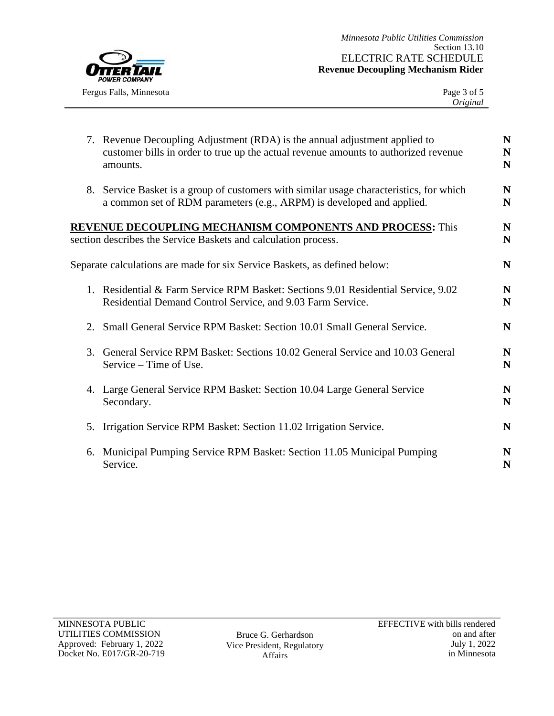

|    | 7. Revenue Decoupling Adjustment (RDA) is the annual adjustment applied to<br>customer bills in order to true up the actual revenue amounts to authorized revenue<br>amounts. | N<br>N<br>N              |
|----|-------------------------------------------------------------------------------------------------------------------------------------------------------------------------------|--------------------------|
|    | 8. Service Basket is a group of customers with similar usage characteristics, for which<br>a common set of RDM parameters (e.g., ARPM) is developed and applied.              | N<br>N                   |
|    | <b>REVENUE DECOUPLING MECHANISM COMPONENTS AND PROCESS:</b> This<br>section describes the Service Baskets and calculation process.                                            | ${\bf N}$<br>$\mathbf N$ |
|    | Separate calculations are made for six Service Baskets, as defined below:                                                                                                     | N                        |
|    | 1. Residential & Farm Service RPM Basket: Sections 9.01 Residential Service, 9.02<br>Residential Demand Control Service, and 9.03 Farm Service.                               | N<br>N                   |
|    | 2. Small General Service RPM Basket: Section 10.01 Small General Service.                                                                                                     | N                        |
|    | 3. General Service RPM Basket: Sections 10.02 General Service and 10.03 General<br>Service – Time of Use.                                                                     | N<br>N                   |
|    | 4. Large General Service RPM Basket: Section 10.04 Large General Service<br>Secondary.                                                                                        | N<br>N                   |
| 5. | Irrigation Service RPM Basket: Section 11.02 Irrigation Service.                                                                                                              | N                        |
|    | 6. Municipal Pumping Service RPM Basket: Section 11.05 Municipal Pumping<br>Service.                                                                                          | N<br>N                   |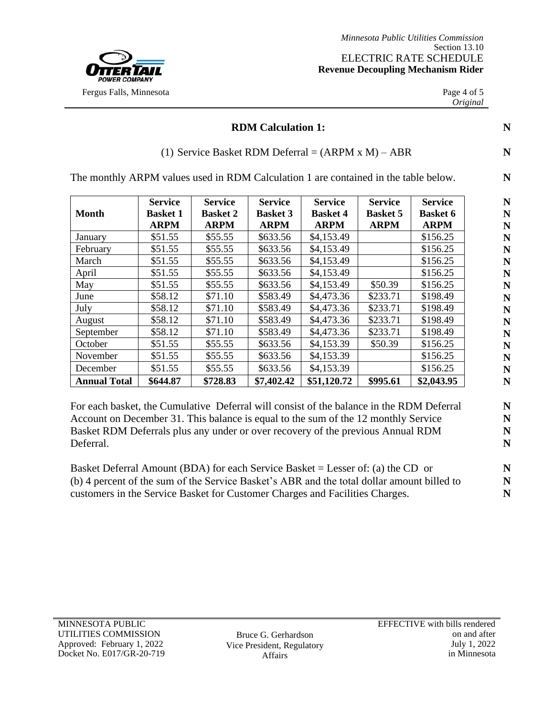

## **RDM Calculation 1:** N

## (1) Service Basket RDM Deferral =  $(ARPM \times M) - ABR$  **N**

The monthly ARPM values used in RDM Calculation 1 are contained in the table below. **N**

|                     | <b>Service</b>  | <b>Service</b>  | <b>Service</b>  | <b>Service</b>  | <b>Service</b>  | <b>Service</b>  |
|---------------------|-----------------|-----------------|-----------------|-----------------|-----------------|-----------------|
| <b>Month</b>        | <b>Basket 1</b> | <b>Basket 2</b> | <b>Basket 3</b> | <b>Basket 4</b> | <b>Basket 5</b> | <b>Basket 6</b> |
|                     | <b>ARPM</b>     | <b>ARPM</b>     | <b>ARPM</b>     | <b>ARPM</b>     | <b>ARPM</b>     | <b>ARPM</b>     |
| January             | \$51.55         | \$55.55         | \$633.56        | \$4,153.49      |                 | \$156.25        |
| February            | \$51.55         | \$55.55         | \$633.56        | \$4,153.49      |                 | \$156.25        |
| March               | \$51.55         | \$55.55         | \$633.56        | \$4,153.49      |                 | \$156.25        |
| April               | \$51.55         | \$55.55         | \$633.56        | \$4,153.49      |                 | \$156.25        |
| May                 | \$51.55         | \$55.55         | \$633.56        | \$4,153.49      | \$50.39         | \$156.25        |
| June                | \$58.12         | \$71.10         | \$583.49        | \$4,473.36      | \$233.71        | \$198.49        |
| July                | \$58.12         | \$71.10         | \$583.49        | \$4,473.36      | \$233.71        | \$198.49        |
| August              | \$58.12         | \$71.10         | \$583.49        | \$4,473.36      | \$233.71        | \$198.49        |
| September           | \$58.12         | \$71.10         | \$583.49        | \$4,473.36      | \$233.71        | \$198.49        |
| October             | \$51.55         | \$55.55         | \$633.56        | \$4,153.39      | \$50.39         | \$156.25        |
| November            | \$51.55         | \$55.55         | \$633.56        | \$4,153.39      |                 | \$156.25        |
| December            | \$51.55         | \$55.55         | \$633.56        | \$4,153.39      |                 | \$156.25        |
| <b>Annual Total</b> | \$644.87        | \$728.83        | \$7,402.42      | \$51,120.72     | \$995.61        | \$2,043.95      |

For each basket, the Cumulative Deferral will consist of the balance in the RDM Deferral Account on December 31. This balance is equal to the sum of the 12 monthly Service Basket RDM Deferrals plus any under or over recovery of the previous Annual RDM Deferral.

Basket Deferral Amount (BDA) for each Service Basket = Lesser of: (a) the CD or (b) 4 percent of the sum of the Service Basket's ABR and the total dollar amount billed to customers in the Service Basket for Customer Charges and Facilities Charges.

Bruce G. Gerhardson Vice President, Regulatory Affairs

**N N N N N N N N N N N N N N N N**

**N N N N**

**N N N**